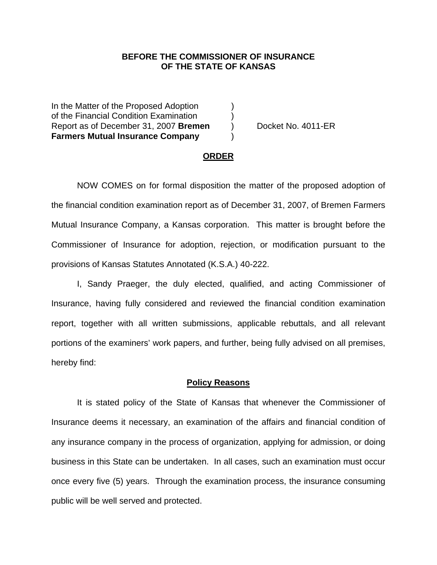### **BEFORE THE COMMISSIONER OF INSURANCE OF THE STATE OF KANSAS**

In the Matter of the Proposed Adoption of the Financial Condition Examination ) Report as of December 31, 2007 **Bremen** ) Docket No. 4011-ER **Farmers Mutual Insurance Company** )

### **ORDER**

 NOW COMES on for formal disposition the matter of the proposed adoption of the financial condition examination report as of December 31, 2007, of Bremen Farmers Mutual Insurance Company, a Kansas corporation. This matter is brought before the Commissioner of Insurance for adoption, rejection, or modification pursuant to the provisions of Kansas Statutes Annotated (K.S.A.) 40-222.

 I, Sandy Praeger, the duly elected, qualified, and acting Commissioner of Insurance, having fully considered and reviewed the financial condition examination report, together with all written submissions, applicable rebuttals, and all relevant portions of the examiners' work papers, and further, being fully advised on all premises, hereby find:

#### **Policy Reasons**

 It is stated policy of the State of Kansas that whenever the Commissioner of Insurance deems it necessary, an examination of the affairs and financial condition of any insurance company in the process of organization, applying for admission, or doing business in this State can be undertaken. In all cases, such an examination must occur once every five (5) years. Through the examination process, the insurance consuming public will be well served and protected.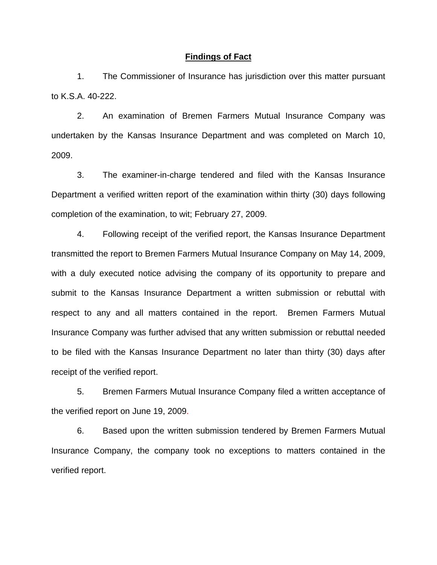#### **Findings of Fact**

 1. The Commissioner of Insurance has jurisdiction over this matter pursuant to K.S.A. 40-222.

 2. An examination of Bremen Farmers Mutual Insurance Company was undertaken by the Kansas Insurance Department and was completed on March 10, 2009.

 3. The examiner-in-charge tendered and filed with the Kansas Insurance Department a verified written report of the examination within thirty (30) days following completion of the examination, to wit; February 27, 2009.

 4. Following receipt of the verified report, the Kansas Insurance Department transmitted the report to Bremen Farmers Mutual Insurance Company on May 14, 2009, with a duly executed notice advising the company of its opportunity to prepare and submit to the Kansas Insurance Department a written submission or rebuttal with respect to any and all matters contained in the report. Bremen Farmers Mutual Insurance Company was further advised that any written submission or rebuttal needed to be filed with the Kansas Insurance Department no later than thirty (30) days after receipt of the verified report.

 5. Bremen Farmers Mutual Insurance Company filed a written acceptance of the verified report on June 19, 2009.

6. Based upon the written submission tendered by Bremen Farmers Mutual Insurance Company, the company took no exceptions to matters contained in the verified report.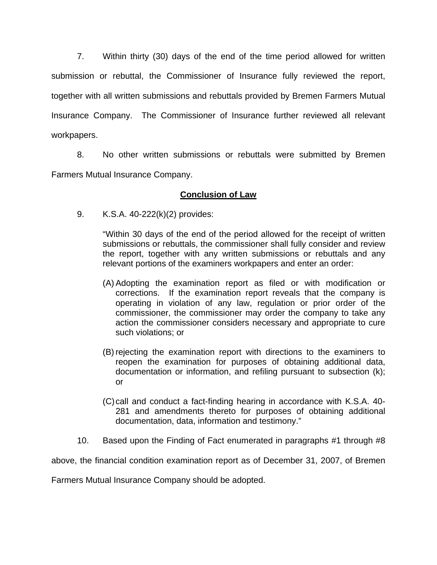7. Within thirty (30) days of the end of the time period allowed for written submission or rebuttal, the Commissioner of Insurance fully reviewed the report, together with all written submissions and rebuttals provided by Bremen Farmers Mutual Insurance Company. The Commissioner of Insurance further reviewed all relevant workpapers.

 8. No other written submissions or rebuttals were submitted by Bremen Farmers Mutual Insurance Company.

## **Conclusion of Law**

9. K.S.A. 40-222(k)(2) provides:

"Within 30 days of the end of the period allowed for the receipt of written submissions or rebuttals, the commissioner shall fully consider and review the report, together with any written submissions or rebuttals and any relevant portions of the examiners workpapers and enter an order:

- (A) Adopting the examination report as filed or with modification or corrections. If the examination report reveals that the company is operating in violation of any law, regulation or prior order of the commissioner, the commissioner may order the company to take any action the commissioner considers necessary and appropriate to cure such violations; or
- (B) rejecting the examination report with directions to the examiners to reopen the examination for purposes of obtaining additional data, documentation or information, and refiling pursuant to subsection (k); or
- (C) call and conduct a fact-finding hearing in accordance with K.S.A. 40- 281 and amendments thereto for purposes of obtaining additional documentation, data, information and testimony."
- 10. Based upon the Finding of Fact enumerated in paragraphs #1 through #8

above, the financial condition examination report as of December 31, 2007, of Bremen

Farmers Mutual Insurance Company should be adopted.